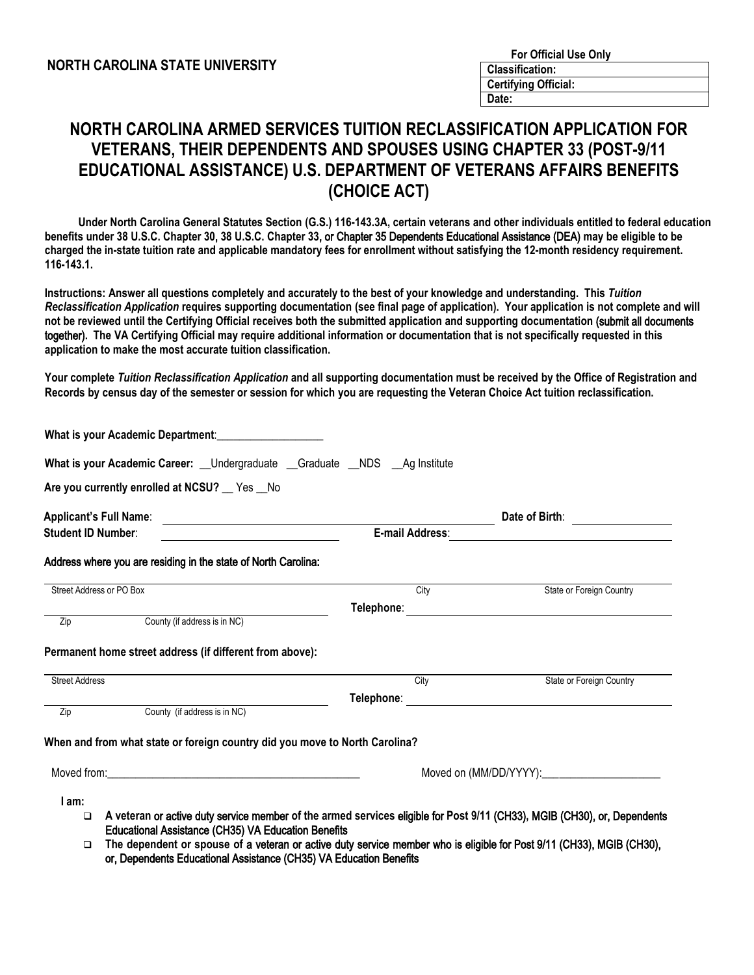## **NORTH CAROLINA ARMED SERVICES TUITION RECLASSIFICATION APPLICATION FOR VETERANS, THEIR DEPENDENTS AND SPOUSES USING CHAPTER 33 (POST-9/11 EDUCATIONAL ASSISTANCE) U.S. DEPARTMENT OF VETERANS AFFAIRS BENEFITS (CHOICE ACT)**

 **Under North Carolina General Statutes Section (G.S.) 116-143.3A, certain veterans and other individuals entitled to federal education benefits under 38 U.S.C. Chapter 30**, **38 U.S.C. Chapter 33**, or Chapter 35 Dependents Educational Assistance (DEA) **may be eligible to be charged the in-state tuition rate and applicable mandatory fees for enrollment without satisfying the 12-month residency requirement. 116-143.1.** 

**Instructions: Answer all questions completely and accurately to the best of your knowledge and understanding. This** *Tuition Reclassification Application* **requires supporting documentation (see final page of application). Your application is not complete and will not be reviewed until the Certifying Official receives both the submitted application and supporting documentation** (submit all documents together)**. The VA Certifying Official may require additional information or documentation that is not specifically requested in this application to make the most accurate tuition classification.** 

**Your complete** *Tuition Reclassification Application* **and all supporting documentation must be received by the Office of Registration and Records by census day of the semester or session for which you are requesting the Veteran Choice Act tuition reclassification.** 

| What is your Academic Career: Undergraduate Graduate NDS Ag Institute                                   |                                                                                                                                                                                                                                               |                          |  |
|---------------------------------------------------------------------------------------------------------|-----------------------------------------------------------------------------------------------------------------------------------------------------------------------------------------------------------------------------------------------|--------------------------|--|
| Are you currently enrolled at NCSU? Fes No                                                              |                                                                                                                                                                                                                                               |                          |  |
| <b>Applicant's Full Name:</b><br><u> 1989 - Johann Harry Barn, mars ar breist ar ymgyriau (b. 1989)</u> | Date of Birth:                                                                                                                                                                                                                                |                          |  |
| <b>Student ID Number:</b>                                                                               | E-mail Address:                                                                                                                                                                                                                               |                          |  |
| Address where you are residing in the state of North Carolina:                                          |                                                                                                                                                                                                                                               |                          |  |
| Street Address or PO Box                                                                                | City                                                                                                                                                                                                                                          | State or Foreign Country |  |
| County (if address is in NC)<br>Zip                                                                     |                                                                                                                                                                                                                                               |                          |  |
|                                                                                                         |                                                                                                                                                                                                                                               |                          |  |
| Permanent home street address (if different from above):                                                |                                                                                                                                                                                                                                               |                          |  |
| <b>Street Address</b>                                                                                   | City                                                                                                                                                                                                                                          | State or Foreign Country |  |
|                                                                                                         |                                                                                                                                                                                                                                               |                          |  |
| Zip<br>County (if address is in NC)                                                                     |                                                                                                                                                                                                                                               |                          |  |
| When and from what state or foreign country did you move to North Carolina?                             |                                                                                                                                                                                                                                               |                          |  |
| Moved from: November 2014                                                                               |                                                                                                                                                                                                                                               |                          |  |
| l am:<br>$\Box$<br><b>Educational Assistance (CH35) VA Education Benefits</b>                           | A veteran or active duty service member of the armed services eligible for Post 9/11 (CH33), MGIB (CH30), or, Dependents<br>The dependent or apouce of a veteron or octual duty considerment and in cligible for Doot 0/44 (CH22) MCID (CH20) |                          |  |

 **The dependent or spouse of** a veteran or active duty service member who is eligible for Post 9/11 (CH33), MGIB (CH30), or, Dependents Educational Assistance (CH35) VA Education Benefits